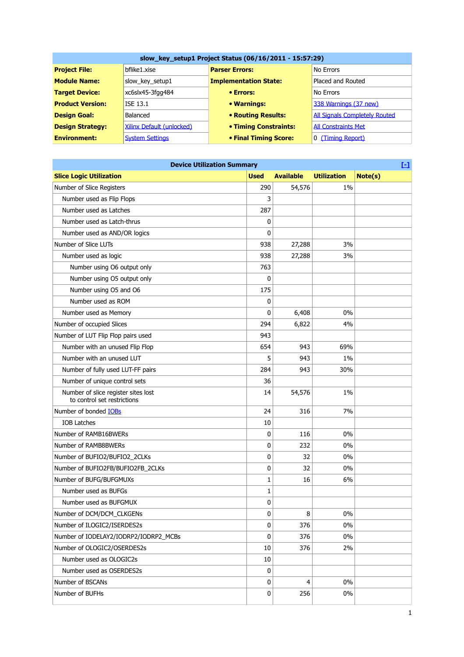| slow_key_setup1 Project Status (06/16/2011 - 15:57:29) |                           |                              |                                      |
|--------------------------------------------------------|---------------------------|------------------------------|--------------------------------------|
| <b>Project File:</b>                                   | bflike1.xise              | <b>Parser Errors:</b>        | No Errors                            |
| <b>Module Name:</b>                                    | slow_key_setup1           | <b>Implementation State:</b> | Placed and Routed                    |
| <b>Target Device:</b>                                  | xc6slx45-3fgg484          | • Errors:                    | No Errors                            |
| <b>Product Version:</b>                                | ISE 13.1                  | • Warnings:                  | 338 Warnings (37 new)                |
| <b>Design Goal:</b>                                    | Balanced                  | <b>• Routing Results:</b>    | <b>All Signals Completely Routed</b> |
| <b>Design Strategy:</b>                                | Xilinx Default (unlocked) | <b>• Timing Constraints:</b> | <b>All Constraints Met</b>           |
| <b>Environment:</b>                                    | <b>System Settings</b>    | • Final Timing Score:        | 0 (Timing Report)                    |

| $\Box$<br><b>Device Utilization Summary</b>                        |             |                  |                    |         |  |
|--------------------------------------------------------------------|-------------|------------------|--------------------|---------|--|
| <b>Slice Logic Utilization</b>                                     | <b>Used</b> | <b>Available</b> | <b>Utilization</b> | Note(s) |  |
| Number of Slice Registers                                          | 290         | 54,576           | 1%                 |         |  |
| Number used as Flip Flops                                          | 3           |                  |                    |         |  |
| Number used as Latches                                             | 287         |                  |                    |         |  |
| Number used as Latch-thrus                                         | 0           |                  |                    |         |  |
| Number used as AND/OR logics                                       | 0           |                  |                    |         |  |
| Number of Slice LUTs                                               | 938         | 27,288           | 3%                 |         |  |
| Number used as logic                                               | 938         | 27,288           | 3%                 |         |  |
| Number using O6 output only                                        | 763         |                  |                    |         |  |
| Number using O5 output only                                        | 0           |                  |                    |         |  |
| Number using O5 and O6                                             | 175         |                  |                    |         |  |
| Number used as ROM                                                 | 0           |                  |                    |         |  |
| Number used as Memory                                              | 0           | 6,408            | 0%                 |         |  |
| Number of occupied Slices                                          | 294         | 6,822            | 4%                 |         |  |
| Number of LUT Flip Flop pairs used                                 | 943         |                  |                    |         |  |
| Number with an unused Flip Flop                                    | 654         | 943              | 69%                |         |  |
| Number with an unused LUT                                          | 5           | 943              | 1%                 |         |  |
| Number of fully used LUT-FF pairs                                  | 284         | 943              | 30%                |         |  |
| Number of unique control sets                                      | 36          |                  |                    |         |  |
| Number of slice register sites lost<br>to control set restrictions | 14          | 54,576           | 1%                 |         |  |
| Number of bonded <b>IOBs</b>                                       | 24          | 316              | 7%                 |         |  |
| <b>IOB Latches</b>                                                 | 10          |                  |                    |         |  |
| Number of RAMB16BWERs                                              | 0           | 116              | 0%                 |         |  |
| Number of RAMB8BWERs                                               | 0           | 232              | 0%                 |         |  |
| Number of BUFIO2/BUFIO2_2CLKs                                      | 0           | 32               | 0%                 |         |  |
| Number of BUFIO2FB/BUFIO2FB_2CLKs                                  | 0           | 32               | 0%                 |         |  |
| Number of BUFG/BUFGMUXs                                            | 1           | 16               | 6%                 |         |  |
| Number used as BUFGs                                               | 1           |                  |                    |         |  |
| Number used as BUFGMUX                                             | 0           |                  |                    |         |  |
| Number of DCM/DCM_CLKGENs                                          | 0           | 8                | 0%                 |         |  |
| Number of ILOGIC2/ISERDES2s                                        | 0           | 376              | 0%                 |         |  |
| Number of IODELAY2/IODRP2/IODRP2_MCBs                              | 0           | 376              | 0%                 |         |  |
| Number of OLOGIC2/OSERDES2s                                        | 10          | 376              | 2%                 |         |  |
| Number used as OLOGIC2s                                            | 10          |                  |                    |         |  |
| Number used as OSERDES2s                                           | 0           |                  |                    |         |  |
| Number of BSCANs                                                   | 0           | 4                | 0%                 |         |  |
| Number of BUFHs                                                    | 0           | 256              | 0%                 |         |  |